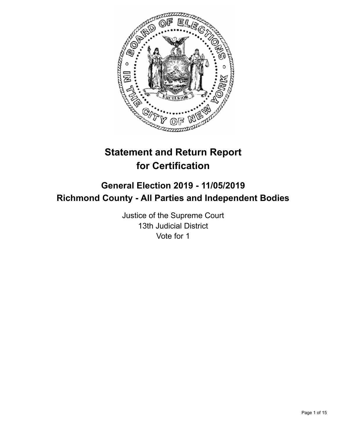

# **Statement and Return Report for Certification**

## **General Election 2019 - 11/05/2019 Richmond County - All Parties and Independent Bodies**

Justice of the Supreme Court 13th Judicial District Vote for 1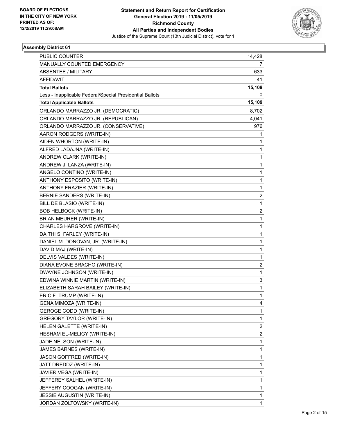

| <b>PUBLIC COUNTER</b>                                    | 14,428                  |
|----------------------------------------------------------|-------------------------|
| MANUALLY COUNTED EMERGENCY                               | 7                       |
| ABSENTEE / MILITARY                                      | 633                     |
| <b>AFFIDAVIT</b>                                         | 41                      |
| <b>Total Ballots</b>                                     | 15,109                  |
| Less - Inapplicable Federal/Special Presidential Ballots | 0                       |
| <b>Total Applicable Ballots</b>                          | 15,109                  |
| ORLANDO MARRAZZO JR. (DEMOCRATIC)                        | 8,702                   |
| ORLANDO MARRAZZO JR. (REPUBLICAN)                        | 4,041                   |
| ORLANDO MARRAZZO JR. (CONSERVATIVE)                      | 976                     |
| AARON RODGERS (WRITE-IN)                                 | 1                       |
| AIDEN WHORTON (WRITE-IN)                                 | 1                       |
| ALFRED LADAJNA (WRITE-IN)                                | 1                       |
| ANDREW CLARK (WRITE-IN)                                  | 1                       |
| ANDREW J. LANZA (WRITE-IN)                               | 1                       |
| ANGELO CONTINO (WRITE-IN)                                | 1                       |
| ANTHONY ESPOSITO (WRITE-IN)                              | 1                       |
| ANTHONY FRAZIER (WRITE-IN)                               | 1                       |
| BERNIE SANDERS (WRITE-IN)                                | $\overline{\mathbf{c}}$ |
| BILL DE BLASIO (WRITE-IN)                                | $\mathbf{1}$            |
| <b>BOB HELBOCK (WRITE-IN)</b>                            | 2                       |
| BRIAN MEURER (WRITE-IN)                                  | 1                       |
| CHARLES HARGROVE (WRITE-IN)                              | 1                       |
| DAITHI S. FARLEY (WRITE-IN)                              | 1                       |
| DANIEL M. DONOVAN, JR. (WRITE-IN)                        | $\mathbf{1}$            |
| DAVID MAJ (WRITE-IN)                                     | 1                       |
| DELVIS VALDES (WRITE-IN)                                 | 1                       |
| DIANA EVONE BRACHO (WRITE-IN)                            | 2                       |
| DWAYNE JOHNSON (WRITE-IN)                                | 1                       |
| EDWINA WINNIE MARTIN (WRITE-IN)                          | 3                       |
| ELIZABETH SARAH BAILEY (WRITE-IN)                        | $\mathbf{1}$            |
| ERIC F. TRUMP (WRITE-IN)                                 | 1                       |
| GENA MIMOZA (WRITE-IN)                                   | 4                       |
| <b>GEROGE CODD (WRITE-IN)</b>                            | $\mathbf{1}$            |
| <b>GREGORY TAYLOR (WRITE-IN)</b>                         | $\mathbf 1$             |
| HELEN GALETTE (WRITE-IN)                                 | 2                       |
| HESHAM EL-MELIGY (WRITE-IN)                              | $\overline{\mathbf{c}}$ |
| JADE NELSON (WRITE-IN)                                   | 1                       |
| JAMES BARNES (WRITE-IN)                                  | $\mathbf{1}$            |
| JASON GOFFRED (WRITE-IN)                                 | $\mathbf 1$             |
| JATT DREDDZ (WRITE-IN)                                   | $\mathbf 1$             |
| JAVIER VEGA (WRITE-IN)                                   | $\mathbf 1$             |
| JEFFEREY SALHEL (WRITE-IN)                               | $\mathbf 1$             |
| JEFFERY COOGAN (WRITE-IN)                                | 1                       |
| JESSIE AUGUSTIN (WRITE-IN)                               | 1                       |
| JORDAN ZOLTOWSKY (WRITE-IN)                              | $\mathbf{1}$            |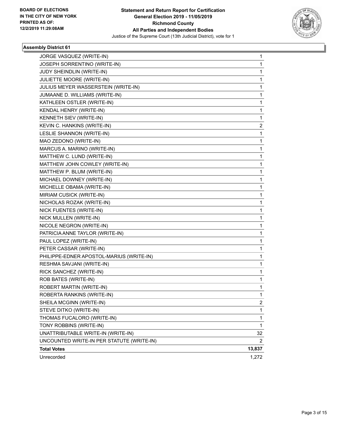

| JORGE VASQUEZ (WRITE-IN)                  | 1              |
|-------------------------------------------|----------------|
| JOSEPH SORRENTINO (WRITE-IN)              | 1              |
| JUDY SHEINDLIN (WRITE-IN)                 | 1              |
| JULIETTE MOORE (WRITE-IN)                 | $\mathbf{1}$   |
| JULIUS MEYER WASSERSTEIN (WRITE-IN)       | 1              |
| JUMAANE D. WILLIAMS (WRITE-IN)            | 1              |
| KATHLEEN OSTLER (WRITE-IN)                | 1              |
| KENDAL HENRY (WRITE-IN)                   | 1              |
| KENNETH SIEV (WRITE-IN)                   | 1              |
| KEVIN C. HANKINS (WRITE-IN)               | $\overline{2}$ |
| LESLIE SHANNON (WRITE-IN)                 | 1              |
| MAO ZEDONO (WRITE-IN)                     | 1              |
| MARCUS A. MARINO (WRITE-IN)               | 1              |
| MATTHEW C. LUND (WRITE-IN)                | 1              |
| MATTHEW JOHN COWLEY (WRITE-IN)            | 1              |
| MATTHEW P. BLUM (WRITE-IN)                | 1.             |
| MICHAEL DOWNEY (WRITE-IN)                 | 1              |
| MICHELLE OBAMA (WRITE-IN)                 | 1              |
| MIRIAM CUSICK (WRITE-IN)                  | 1              |
| NICHOLAS ROZAK (WRITE-IN)                 | 1              |
| NICK FUENTES (WRITE-IN)                   | 1              |
| NICK MULLEN (WRITE-IN)                    | 1.             |
| NICOLE NEGRON (WRITE-IN)                  | 1              |
| PATRICIA ANNE TAYLOR (WRITE-IN)           | 1              |
| PAUL LOPEZ (WRITE-IN)                     | 1              |
| PETER CASSAR (WRITE-IN)                   | 1              |
| PHILIPPE-EDNER APOSTOL-MARIUS (WRITE-IN)  | 1              |
| RESHMA SAVJANI (WRITE-IN)                 | $\mathbf{1}$   |
| RICK SANCHEZ (WRITE-IN)                   | 1              |
| ROB BATES (WRITE-IN)                      | 1              |
| ROBERT MARTIN (WRITE-IN)                  | 1              |
| ROBERTA RANKINS (WRITE-IN)                | 1              |
| SHEILA MCGINN (WRITE-IN)                  | 2              |
| STEVE DITKO (WRITE-IN)                    | $\mathbf{1}$   |
| THOMAS FUCALORO (WRITE-IN)                | $\mathbf{1}$   |
| TONY ROBBINS (WRITE-IN)                   | 1              |
| UNATTRIBUTABLE WRITE-IN (WRITE-IN)        | 32             |
| UNCOUNTED WRITE-IN PER STATUTE (WRITE-IN) | 2              |
| <b>Total Votes</b>                        | 13,837         |
| Unrecorded                                | 1,272          |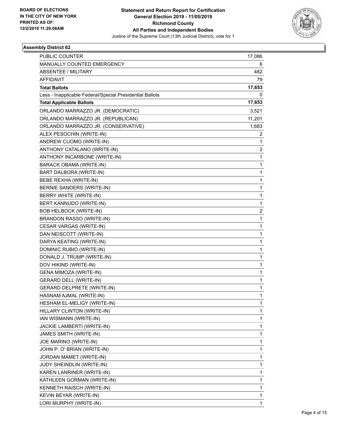

| <b>PUBLIC COUNTER</b>                                    | 17,086                  |
|----------------------------------------------------------|-------------------------|
| MANUALLY COUNTED EMERGENCY                               | 6                       |
| <b>ABSENTEE / MILITARY</b>                               | 482                     |
| <b>AFFIDAVIT</b>                                         | 79                      |
| <b>Total Ballots</b>                                     | 17,653                  |
| Less - Inapplicable Federal/Special Presidential Ballots | 0                       |
| <b>Total Applicable Ballots</b>                          | 17,653                  |
| ORLANDO MARRAZZO JR. (DEMOCRATIC)                        | 3,521                   |
| ORLANDO MARRAZZO JR. (REPUBLICAN)                        | 11,201                  |
| ORLANDO MARRAZZO JR. (CONSERVATIVE)                      | 1,683                   |
| ALEX PESOCHIN (WRITE-IN)                                 | 2                       |
| ANDREW CUOMO (WRITE-IN)                                  | 1                       |
| ANTHONY CATALANO (WRITE-IN)                              | $\overline{\mathbf{c}}$ |
| ANTHONY INCARBONE (WRITE-IN)                             | $\mathbf{1}$            |
| BARACK OBAMA (WRITE-IN)                                  | 1                       |
| BART DALBORA (WRITE-IN)                                  | 1                       |
| BEBE REXHA (WRITE-IN)                                    | 1                       |
| BERNIE SANDERS (WRITE-IN)                                | 1                       |
| BERRY WHITE (WRITE-IN)                                   | 1                       |
| BERT KANNUDO (WRITE-IN)                                  | $\mathbf{1}$            |
| <b>BOB HELBOCK (WRITE-IN)</b>                            | 2                       |
| BRANDON RASSO (WRITE-IN)                                 | 1                       |
| CESAR VARGAS (WRITE-IN)                                  | 1                       |
| DAN NEISCOTT (WRITE-IN)                                  | 1                       |
| DARYA KEATING (WRITE-IN)                                 | 1                       |
| DOMINIC RUBIO (WRITE-IN)                                 | $\mathbf{1}$            |
| DONALD J. TRUMP (WRITE-IN)                               | 1                       |
| DOV HIKIND (WRITE-IN)                                    | 1                       |
| GENA MIMOZA (WRITE-IN)                                   | 1                       |
| <b>GERARD DELL (WRITE-IN)</b>                            | 1                       |
| <b>GERARD DELPRETE (WRITE-IN)</b>                        | 1                       |
| HASNAM AJMAL (WRITE-IN)                                  | 1                       |
| HESHAM EL-MELIGY (WRITE-IN)                              | 1                       |
| HILLARY CLINTON (WRITE-IN)                               | 1                       |
| IAN WISMANN (WRITE-IN)                                   | 1                       |
| JACKIE LAMBERTI (WRITE-IN)                               | 1                       |
| JAMES SMITH (WRITE-IN)                                   | 1                       |
| JOE MARINO (WRITE-IN)                                    | 1                       |
| JOHN P. O' BRIAN (WRITE-IN)                              | 1                       |
| JORDAN MAMET (WRITE-IN)                                  | 1                       |
| <b>JUDY SHEINDLIN (WRITE-IN)</b>                         | 1                       |
| KAREN LANRINER (WRITE-IN)                                | 1                       |
| KATHLEEN GORMAN (WRITE-IN)                               | 1                       |
| KENNETH RAISCH (WRITE-IN)                                | 1                       |
| KEVIN BEYAR (WRITE-IN)                                   | 1                       |
| LORI MURPHY (WRITE-IN)                                   | $\mathbf{1}$            |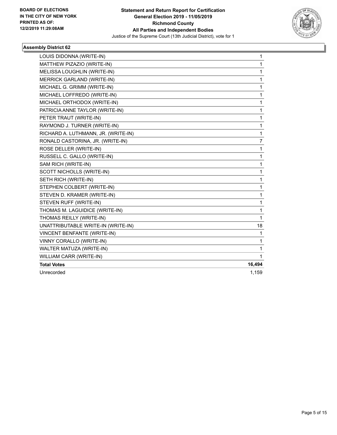

| LOUIS DIDONNA (WRITE-IN)            | $\mathbf{1}$   |
|-------------------------------------|----------------|
| MATTHEW PIZAZIO (WRITE-IN)          | $\mathbf{1}$   |
| MELISSA LOUGHLIN (WRITE-IN)         | 1              |
| <b>MERRICK GARLAND (WRITE-IN)</b>   | $\mathbf{1}$   |
| MICHAEL G. GRIMM (WRITE-IN)         | $\mathbf{1}$   |
| MICHAEL LOFFREDO (WRITE-IN)         | $\mathbf{1}$   |
| MICHAEL ORTHODOX (WRITE-IN)         | 1              |
| PATRICIA ANNE TAYLOR (WRITE-IN)     | 1              |
| PETER TRAUT (WRITE-IN)              | $\mathbf{1}$   |
| RAYMOND J. TURNER (WRITE-IN)        | 1              |
| RICHARD A. LUTHMANN, JR. (WRITE-IN) | 1              |
| RONALD CASTORINA, JR. (WRITE-IN)    | $\overline{7}$ |
| ROSE DELLER (WRITE-IN)              | 1              |
| RUSSELL C. GALLO (WRITE-IN)         | $\mathbf{1}$   |
| SAM RICH (WRITE-IN)                 | 1              |
| SCOTT NICHOLLS (WRITE-IN)           | 1              |
| SETH RICH (WRITE-IN)                | $\mathbf{1}$   |
| STEPHEN COLBERT (WRITE-IN)          | 1              |
| STEVEN D. KRAMER (WRITE-IN)         | $\mathbf{1}$   |
| STEVEN RUFF (WRITE-IN)              | $\mathbf 1$    |
| THOMAS M. LAGUIDICE (WRITE-IN)      | 1              |
| THOMAS REILLY (WRITE-IN)            | 1              |
| UNATTRIBUTABLE WRITE-IN (WRITE-IN)  | 18             |
| VINCENT BENFANTE (WRITE-IN)         | 1              |
| VINNY CORALLO (WRITE-IN)            | 1              |
| WALTER MATUZA (WRITE-IN)            | 1              |
| WILLIAM CARR (WRITE-IN)             | $\mathbf{1}$   |
| <b>Total Votes</b>                  | 16,494         |
| Unrecorded                          | 1,159          |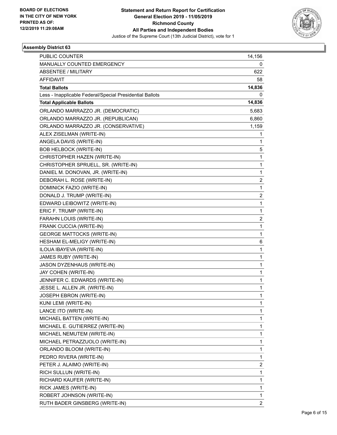

| PUBLIC COUNTER                                           | 14,156         |
|----------------------------------------------------------|----------------|
| MANUALLY COUNTED EMERGENCY                               | 0              |
| ABSENTEE / MILITARY                                      | 622            |
| <b>AFFIDAVIT</b>                                         | 58             |
| <b>Total Ballots</b>                                     | 14,836         |
| Less - Inapplicable Federal/Special Presidential Ballots | 0              |
| <b>Total Applicable Ballots</b>                          | 14,836         |
| ORLANDO MARRAZZO JR. (DEMOCRATIC)                        | 5,683          |
| ORLANDO MARRAZZO JR. (REPUBLICAN)                        | 6,860          |
| ORLANDO MARRAZZO JR. (CONSERVATIVE)                      | 1,159          |
| ALEX ZISELMAN (WRITE-IN)                                 | 1              |
| ANGELA DAVIS (WRITE-IN)                                  | 1              |
| <b>BOB HELBOCK (WRITE-IN)</b>                            | 5              |
| CHRISTOPHER HAZEN (WRITE-IN)                             | $\mathbf{1}$   |
| CHRISTOPHER SPRUELL, SR. (WRITE-IN)                      | 1              |
| DANIEL M. DONOVAN, JR. (WRITE-IN)                        | 1              |
| DEBORAH L. ROSE (WRITE-IN)                               | 2              |
| DOMINICK FAZIO (WRITE-IN)                                | 1              |
| DONALD J. TRUMP (WRITE-IN)                               | $\overline{2}$ |
| EDWARD LEIBOWITZ (WRITE-IN)                              | $\mathbf{1}$   |
| ERIC F. TRUMP (WRITE-IN)                                 | 1              |
| FARAHN LOUIS (WRITE-IN)                                  | $\overline{2}$ |
| FRANK CUCCIA (WRITE-IN)                                  | $\mathbf{1}$   |
| <b>GEORGE MATTOCKS (WRITE-IN)</b>                        | 1              |
| HESHAM EL-MELIGY (WRITE-IN)                              | 6              |
| ILOUA IBAYEVA (WRITE-IN)                                 | $\mathbf{1}$   |
| JAMES RUBY (WRITE-IN)                                    | 1              |
| JASON DYZENHAUS (WRITE-IN)                               | 1              |
| JAY COHEN (WRITE-IN)                                     | 1              |
| JENNIFER C. EDWARDS (WRITE-IN)                           | 1              |
| JESSE L. ALLEN JR. (WRITE-IN)                            | 1              |
| JOSEPH EBRON (WRITE-IN)                                  | 1              |
| KUNI LEMI (WRITE-IN)                                     | 1              |
| LANCE ITO (WRITE-IN)                                     | 1              |
| MICHAEL BATTEN (WRITE-IN)                                | $\mathbf{1}$   |
| MICHAEL E. GUTIERREZ (WRITE-IN)                          | 1              |
| MICHAEL NEMUTEM (WRITE-IN)                               | 1              |
| MICHAEL PETRAZZUOLO (WRITE-IN)                           | 1              |
| ORLANDO BLOOM (WRITE-IN)                                 | 1              |
| PEDRO RIVERA (WRITE-IN)                                  | 1              |
| PETER J. ALAIMO (WRITE-IN)                               | 2              |
| RICH SULLUN (WRITE-IN)                                   | 1              |
| RICHARD KAUFER (WRITE-IN)                                | 1              |
| RICK JAMES (WRITE-IN)                                    | 1              |
| ROBERT JOHNSON (WRITE-IN)                                | 1              |
| RUTH BADER GINSBERG (WRITE-IN)                           | $\overline{2}$ |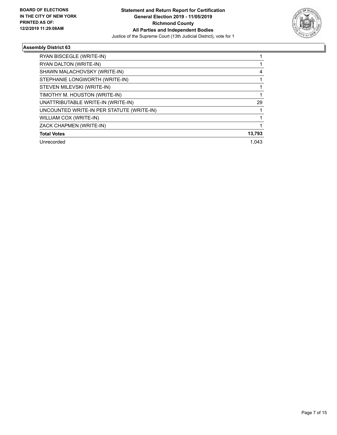

| RYAN BISCEGLE (WRITE-IN)                  |        |
|-------------------------------------------|--------|
| RYAN DALTON (WRITE-IN)                    |        |
| SHAWN MALACHOVSKY (WRITE-IN)              | 4      |
| STEPHANIE LONGWORTH (WRITE-IN)            |        |
| STEVEN MILEVSKI (WRITE-IN)                |        |
| TIMOTHY M. HOUSTON (WRITE-IN)             |        |
| UNATTRIBUTABLE WRITE-IN (WRITE-IN)        | 29     |
| UNCOUNTED WRITE-IN PER STATUTE (WRITE-IN) |        |
| WILLIAM COX (WRITE-IN)                    |        |
| ZACK CHAPMEN (WRITE-IN)                   |        |
| <b>Total Votes</b>                        | 13,793 |
| Unrecorded                                | 1.043  |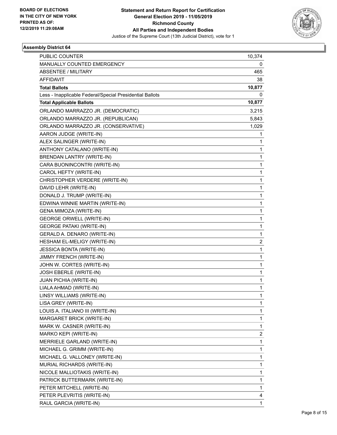

| <b>PUBLIC COUNTER</b>                                    | 10,374                  |
|----------------------------------------------------------|-------------------------|
| MANUALLY COUNTED EMERGENCY                               | 0                       |
| <b>ABSENTEE / MILITARY</b>                               | 465                     |
| <b>AFFIDAVIT</b>                                         | 38                      |
| <b>Total Ballots</b>                                     | 10,877                  |
| Less - Inapplicable Federal/Special Presidential Ballots | 0                       |
| <b>Total Applicable Ballots</b>                          | 10,877                  |
| ORLANDO MARRAZZO JR. (DEMOCRATIC)                        | 3,215                   |
| ORLANDO MARRAZZO JR. (REPUBLICAN)                        | 5,843                   |
| ORLANDO MARRAZZO JR. (CONSERVATIVE)                      | 1,029                   |
| AARON JUDGE (WRITE-IN)                                   | 1                       |
| ALEX SALINGER (WRITE-IN)                                 | 1                       |
| ANTHONY CATALANO (WRITE-IN)                              | 1                       |
| BRENDAN LANTRY (WRITE-IN)                                | $\mathbf{1}$            |
| CARA BUONINCONTRI (WRITE-IN)                             | 1                       |
| CAROL HEFTY (WRITE-IN)                                   | 1                       |
| CHRISTOPHER VERDERE (WRITE-IN)                           | 1                       |
| DAVID LEHR (WRITE-IN)                                    | 1                       |
| DONALD J. TRUMP (WRITE-IN)                               | 1                       |
| EDWINA WINNIE MARTIN (WRITE-IN)                          | $\mathbf{1}$            |
| GENA MIMOZA (WRITE-IN)                                   | 1                       |
| <b>GEORGE ORWELL (WRITE-IN)</b>                          | 1                       |
| <b>GEORGE PATAKI (WRITE-IN)</b>                          | 1                       |
| GERALD A. DENARO (WRITE-IN)                              | 1                       |
| HESHAM EL-MELIGY (WRITE-IN)                              | $\overline{\mathbf{c}}$ |
| JESSICA BONTA (WRITE-IN)                                 | $\mathbf{1}$            |
| JIMMY FRENCH (WRITE-IN)                                  | 1                       |
| JOHN W. CORTES (WRITE-IN)                                | 1                       |
| JOSH EBERLE (WRITE-IN)                                   | 1                       |
| <b>JUAN PICHIA (WRITE-IN)</b>                            | 1                       |
| LIALA AHMAD (WRITE-IN)                                   | 1                       |
| LINSY WILLIAMS (WRITE-IN)                                | 1                       |
| LISA GREY (WRITE-IN)                                     | 1                       |
| LOUIS A. ITALIANO III (WRITE-IN)                         | 1                       |
| MARGARET BRICK (WRITE-IN)                                | 1                       |
| MARK W. CASNER (WRITE-IN)                                | 1                       |
| MARKO KEPI (WRITE-IN)                                    | $\overline{\mathbf{c}}$ |
| MERRIELE GARLAND (WRITE-IN)                              | 1                       |
| MICHAEL G. GRIMM (WRITE-IN)                              | 1                       |
| MICHAEL G. VALLONEY (WRITE-IN)                           | 1                       |
| MURIAL RICHARDS (WRITE-IN)                               | 1                       |
| NICOLE MALLIOTAKIS (WRITE-IN)                            | 1                       |
| PATRICK BUTTERMARK (WRITE-IN)                            | 1                       |
| PETER MITCHELL (WRITE-IN)                                | 1                       |
| PETER PLEVRITIS (WRITE-IN)                               | 4                       |
| RAUL GARCIA (WRITE-IN)                                   | $\mathbf{1}$            |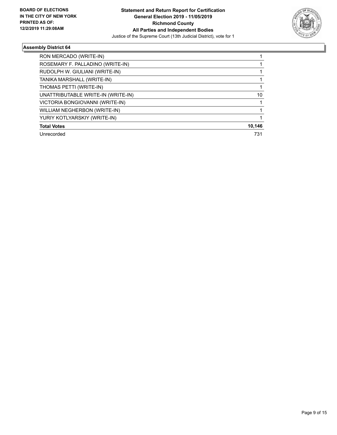

| RON MERCADO (WRITE-IN)             |        |
|------------------------------------|--------|
| ROSEMARY F. PALLADINO (WRITE-IN)   |        |
| RUDOLPH W. GIULIANI (WRITE-IN)     |        |
| TANIKA MARSHALL (WRITE-IN)         |        |
| THOMAS PETTI (WRITE-IN)            |        |
| UNATTRIBUTABLE WRITE-IN (WRITE-IN) | 10     |
| VICTORIA BONGIOVANNI (WRITE-IN)    |        |
| WILLIAM NEGHERBON (WRITE-IN)       |        |
| YURIY KOTLYARSKIY (WRITE-IN)       |        |
| <b>Total Votes</b>                 | 10,146 |
| Unrecorded                         | 731    |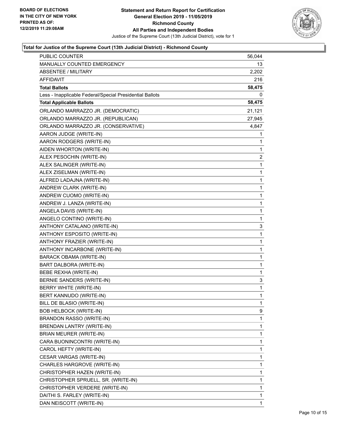

| MANUALLY COUNTED EMERGENCY<br>13<br><b>ABSENTEE / MILITARY</b><br>2,202<br>AFFIDAVIT<br>216<br><b>Total Ballots</b><br>58,475<br>Less - Inapplicable Federal/Special Presidential Ballots<br>0<br><b>Total Applicable Ballots</b><br>58,475<br>ORLANDO MARRAZZO JR. (DEMOCRATIC)<br>21,121<br>ORLANDO MARRAZZO JR. (REPUBLICAN)<br>27,945<br>ORLANDO MARRAZZO JR. (CONSERVATIVE)<br>4,847<br>AARON JUDGE (WRITE-IN)<br>1<br>AARON RODGERS (WRITE-IN)<br>1<br>AIDEN WHORTON (WRITE-IN)<br>1<br>ALEX PESOCHIN (WRITE-IN)<br>2<br>ALEX SALINGER (WRITE-IN)<br>1<br>1<br>ALEX ZISELMAN (WRITE-IN)<br>ALFRED LADAJNA (WRITE-IN)<br>1<br>ANDREW CLARK (WRITE-IN)<br>1<br>1<br>ANDREW CUOMO (WRITE-IN)<br>ANDREW J. LANZA (WRITE-IN)<br>1<br>ANGELA DAVIS (WRITE-IN)<br>1<br>1<br>ANGELO CONTINO (WRITE-IN)<br>ANTHONY CATALANO (WRITE-IN)<br>3<br>ANTHONY ESPOSITO (WRITE-IN)<br>1<br>1<br>ANTHONY FRAZIER (WRITE-IN)<br>ANTHONY INCARBONE (WRITE-IN)<br>1<br><b>BARACK OBAMA (WRITE-IN)</b><br>1<br>1<br>BART DALBORA (WRITE-IN)<br>BEBE REXHA (WRITE-IN)<br>1<br>BERNIE SANDERS (WRITE-IN)<br>3<br>$\mathbf{1}$<br>BERRY WHITE (WRITE-IN)<br>$\mathbf{1}$<br>BERT KANNUDO (WRITE-IN)<br>BILL DE BLASIO (WRITE-IN)<br>1<br><b>BOB HELBOCK (WRITE-IN)</b><br>9<br>BRANDON RASSO (WRITE-IN)<br>1<br>BRENDAN LANTRY (WRITE-IN)<br>1<br>1<br>BRIAN MEURER (WRITE-IN)<br>CARA BUONINCONTRI (WRITE-IN)<br>1<br>CAROL HEFTY (WRITE-IN)<br>1<br>1<br>CESAR VARGAS (WRITE-IN)<br>CHARLES HARGROVE (WRITE-IN)<br>1<br>CHRISTOPHER HAZEN (WRITE-IN)<br>1<br>1<br>CHRISTOPHER SPRUELL, SR. (WRITE-IN)<br>CHRISTOPHER VERDERE (WRITE-IN)<br>1<br>DAITHI S. FARLEY (WRITE-IN)<br>1<br>DAN NEISCOTT (WRITE-IN)<br>1 | <b>PUBLIC COUNTER</b> | 56,044 |
|-------------------------------------------------------------------------------------------------------------------------------------------------------------------------------------------------------------------------------------------------------------------------------------------------------------------------------------------------------------------------------------------------------------------------------------------------------------------------------------------------------------------------------------------------------------------------------------------------------------------------------------------------------------------------------------------------------------------------------------------------------------------------------------------------------------------------------------------------------------------------------------------------------------------------------------------------------------------------------------------------------------------------------------------------------------------------------------------------------------------------------------------------------------------------------------------------------------------------------------------------------------------------------------------------------------------------------------------------------------------------------------------------------------------------------------------------------------------------------------------------------------------------------------------------------------------------------------------------------------------------------------------------------------------------------------------------|-----------------------|--------|
|                                                                                                                                                                                                                                                                                                                                                                                                                                                                                                                                                                                                                                                                                                                                                                                                                                                                                                                                                                                                                                                                                                                                                                                                                                                                                                                                                                                                                                                                                                                                                                                                                                                                                                 |                       |        |
|                                                                                                                                                                                                                                                                                                                                                                                                                                                                                                                                                                                                                                                                                                                                                                                                                                                                                                                                                                                                                                                                                                                                                                                                                                                                                                                                                                                                                                                                                                                                                                                                                                                                                                 |                       |        |
|                                                                                                                                                                                                                                                                                                                                                                                                                                                                                                                                                                                                                                                                                                                                                                                                                                                                                                                                                                                                                                                                                                                                                                                                                                                                                                                                                                                                                                                                                                                                                                                                                                                                                                 |                       |        |
|                                                                                                                                                                                                                                                                                                                                                                                                                                                                                                                                                                                                                                                                                                                                                                                                                                                                                                                                                                                                                                                                                                                                                                                                                                                                                                                                                                                                                                                                                                                                                                                                                                                                                                 |                       |        |
|                                                                                                                                                                                                                                                                                                                                                                                                                                                                                                                                                                                                                                                                                                                                                                                                                                                                                                                                                                                                                                                                                                                                                                                                                                                                                                                                                                                                                                                                                                                                                                                                                                                                                                 |                       |        |
|                                                                                                                                                                                                                                                                                                                                                                                                                                                                                                                                                                                                                                                                                                                                                                                                                                                                                                                                                                                                                                                                                                                                                                                                                                                                                                                                                                                                                                                                                                                                                                                                                                                                                                 |                       |        |
|                                                                                                                                                                                                                                                                                                                                                                                                                                                                                                                                                                                                                                                                                                                                                                                                                                                                                                                                                                                                                                                                                                                                                                                                                                                                                                                                                                                                                                                                                                                                                                                                                                                                                                 |                       |        |
|                                                                                                                                                                                                                                                                                                                                                                                                                                                                                                                                                                                                                                                                                                                                                                                                                                                                                                                                                                                                                                                                                                                                                                                                                                                                                                                                                                                                                                                                                                                                                                                                                                                                                                 |                       |        |
|                                                                                                                                                                                                                                                                                                                                                                                                                                                                                                                                                                                                                                                                                                                                                                                                                                                                                                                                                                                                                                                                                                                                                                                                                                                                                                                                                                                                                                                                                                                                                                                                                                                                                                 |                       |        |
|                                                                                                                                                                                                                                                                                                                                                                                                                                                                                                                                                                                                                                                                                                                                                                                                                                                                                                                                                                                                                                                                                                                                                                                                                                                                                                                                                                                                                                                                                                                                                                                                                                                                                                 |                       |        |
|                                                                                                                                                                                                                                                                                                                                                                                                                                                                                                                                                                                                                                                                                                                                                                                                                                                                                                                                                                                                                                                                                                                                                                                                                                                                                                                                                                                                                                                                                                                                                                                                                                                                                                 |                       |        |
|                                                                                                                                                                                                                                                                                                                                                                                                                                                                                                                                                                                                                                                                                                                                                                                                                                                                                                                                                                                                                                                                                                                                                                                                                                                                                                                                                                                                                                                                                                                                                                                                                                                                                                 |                       |        |
|                                                                                                                                                                                                                                                                                                                                                                                                                                                                                                                                                                                                                                                                                                                                                                                                                                                                                                                                                                                                                                                                                                                                                                                                                                                                                                                                                                                                                                                                                                                                                                                                                                                                                                 |                       |        |
|                                                                                                                                                                                                                                                                                                                                                                                                                                                                                                                                                                                                                                                                                                                                                                                                                                                                                                                                                                                                                                                                                                                                                                                                                                                                                                                                                                                                                                                                                                                                                                                                                                                                                                 |                       |        |
|                                                                                                                                                                                                                                                                                                                                                                                                                                                                                                                                                                                                                                                                                                                                                                                                                                                                                                                                                                                                                                                                                                                                                                                                                                                                                                                                                                                                                                                                                                                                                                                                                                                                                                 |                       |        |
|                                                                                                                                                                                                                                                                                                                                                                                                                                                                                                                                                                                                                                                                                                                                                                                                                                                                                                                                                                                                                                                                                                                                                                                                                                                                                                                                                                                                                                                                                                                                                                                                                                                                                                 |                       |        |
|                                                                                                                                                                                                                                                                                                                                                                                                                                                                                                                                                                                                                                                                                                                                                                                                                                                                                                                                                                                                                                                                                                                                                                                                                                                                                                                                                                                                                                                                                                                                                                                                                                                                                                 |                       |        |
|                                                                                                                                                                                                                                                                                                                                                                                                                                                                                                                                                                                                                                                                                                                                                                                                                                                                                                                                                                                                                                                                                                                                                                                                                                                                                                                                                                                                                                                                                                                                                                                                                                                                                                 |                       |        |
|                                                                                                                                                                                                                                                                                                                                                                                                                                                                                                                                                                                                                                                                                                                                                                                                                                                                                                                                                                                                                                                                                                                                                                                                                                                                                                                                                                                                                                                                                                                                                                                                                                                                                                 |                       |        |
|                                                                                                                                                                                                                                                                                                                                                                                                                                                                                                                                                                                                                                                                                                                                                                                                                                                                                                                                                                                                                                                                                                                                                                                                                                                                                                                                                                                                                                                                                                                                                                                                                                                                                                 |                       |        |
|                                                                                                                                                                                                                                                                                                                                                                                                                                                                                                                                                                                                                                                                                                                                                                                                                                                                                                                                                                                                                                                                                                                                                                                                                                                                                                                                                                                                                                                                                                                                                                                                                                                                                                 |                       |        |
|                                                                                                                                                                                                                                                                                                                                                                                                                                                                                                                                                                                                                                                                                                                                                                                                                                                                                                                                                                                                                                                                                                                                                                                                                                                                                                                                                                                                                                                                                                                                                                                                                                                                                                 |                       |        |
|                                                                                                                                                                                                                                                                                                                                                                                                                                                                                                                                                                                                                                                                                                                                                                                                                                                                                                                                                                                                                                                                                                                                                                                                                                                                                                                                                                                                                                                                                                                                                                                                                                                                                                 |                       |        |
|                                                                                                                                                                                                                                                                                                                                                                                                                                                                                                                                                                                                                                                                                                                                                                                                                                                                                                                                                                                                                                                                                                                                                                                                                                                                                                                                                                                                                                                                                                                                                                                                                                                                                                 |                       |        |
|                                                                                                                                                                                                                                                                                                                                                                                                                                                                                                                                                                                                                                                                                                                                                                                                                                                                                                                                                                                                                                                                                                                                                                                                                                                                                                                                                                                                                                                                                                                                                                                                                                                                                                 |                       |        |
|                                                                                                                                                                                                                                                                                                                                                                                                                                                                                                                                                                                                                                                                                                                                                                                                                                                                                                                                                                                                                                                                                                                                                                                                                                                                                                                                                                                                                                                                                                                                                                                                                                                                                                 |                       |        |
|                                                                                                                                                                                                                                                                                                                                                                                                                                                                                                                                                                                                                                                                                                                                                                                                                                                                                                                                                                                                                                                                                                                                                                                                                                                                                                                                                                                                                                                                                                                                                                                                                                                                                                 |                       |        |
|                                                                                                                                                                                                                                                                                                                                                                                                                                                                                                                                                                                                                                                                                                                                                                                                                                                                                                                                                                                                                                                                                                                                                                                                                                                                                                                                                                                                                                                                                                                                                                                                                                                                                                 |                       |        |
|                                                                                                                                                                                                                                                                                                                                                                                                                                                                                                                                                                                                                                                                                                                                                                                                                                                                                                                                                                                                                                                                                                                                                                                                                                                                                                                                                                                                                                                                                                                                                                                                                                                                                                 |                       |        |
|                                                                                                                                                                                                                                                                                                                                                                                                                                                                                                                                                                                                                                                                                                                                                                                                                                                                                                                                                                                                                                                                                                                                                                                                                                                                                                                                                                                                                                                                                                                                                                                                                                                                                                 |                       |        |
|                                                                                                                                                                                                                                                                                                                                                                                                                                                                                                                                                                                                                                                                                                                                                                                                                                                                                                                                                                                                                                                                                                                                                                                                                                                                                                                                                                                                                                                                                                                                                                                                                                                                                                 |                       |        |
|                                                                                                                                                                                                                                                                                                                                                                                                                                                                                                                                                                                                                                                                                                                                                                                                                                                                                                                                                                                                                                                                                                                                                                                                                                                                                                                                                                                                                                                                                                                                                                                                                                                                                                 |                       |        |
|                                                                                                                                                                                                                                                                                                                                                                                                                                                                                                                                                                                                                                                                                                                                                                                                                                                                                                                                                                                                                                                                                                                                                                                                                                                                                                                                                                                                                                                                                                                                                                                                                                                                                                 |                       |        |
|                                                                                                                                                                                                                                                                                                                                                                                                                                                                                                                                                                                                                                                                                                                                                                                                                                                                                                                                                                                                                                                                                                                                                                                                                                                                                                                                                                                                                                                                                                                                                                                                                                                                                                 |                       |        |
|                                                                                                                                                                                                                                                                                                                                                                                                                                                                                                                                                                                                                                                                                                                                                                                                                                                                                                                                                                                                                                                                                                                                                                                                                                                                                                                                                                                                                                                                                                                                                                                                                                                                                                 |                       |        |
|                                                                                                                                                                                                                                                                                                                                                                                                                                                                                                                                                                                                                                                                                                                                                                                                                                                                                                                                                                                                                                                                                                                                                                                                                                                                                                                                                                                                                                                                                                                                                                                                                                                                                                 |                       |        |
|                                                                                                                                                                                                                                                                                                                                                                                                                                                                                                                                                                                                                                                                                                                                                                                                                                                                                                                                                                                                                                                                                                                                                                                                                                                                                                                                                                                                                                                                                                                                                                                                                                                                                                 |                       |        |
|                                                                                                                                                                                                                                                                                                                                                                                                                                                                                                                                                                                                                                                                                                                                                                                                                                                                                                                                                                                                                                                                                                                                                                                                                                                                                                                                                                                                                                                                                                                                                                                                                                                                                                 |                       |        |
|                                                                                                                                                                                                                                                                                                                                                                                                                                                                                                                                                                                                                                                                                                                                                                                                                                                                                                                                                                                                                                                                                                                                                                                                                                                                                                                                                                                                                                                                                                                                                                                                                                                                                                 |                       |        |
|                                                                                                                                                                                                                                                                                                                                                                                                                                                                                                                                                                                                                                                                                                                                                                                                                                                                                                                                                                                                                                                                                                                                                                                                                                                                                                                                                                                                                                                                                                                                                                                                                                                                                                 |                       |        |
|                                                                                                                                                                                                                                                                                                                                                                                                                                                                                                                                                                                                                                                                                                                                                                                                                                                                                                                                                                                                                                                                                                                                                                                                                                                                                                                                                                                                                                                                                                                                                                                                                                                                                                 |                       |        |
|                                                                                                                                                                                                                                                                                                                                                                                                                                                                                                                                                                                                                                                                                                                                                                                                                                                                                                                                                                                                                                                                                                                                                                                                                                                                                                                                                                                                                                                                                                                                                                                                                                                                                                 |                       |        |
|                                                                                                                                                                                                                                                                                                                                                                                                                                                                                                                                                                                                                                                                                                                                                                                                                                                                                                                                                                                                                                                                                                                                                                                                                                                                                                                                                                                                                                                                                                                                                                                                                                                                                                 |                       |        |
|                                                                                                                                                                                                                                                                                                                                                                                                                                                                                                                                                                                                                                                                                                                                                                                                                                                                                                                                                                                                                                                                                                                                                                                                                                                                                                                                                                                                                                                                                                                                                                                                                                                                                                 |                       |        |
|                                                                                                                                                                                                                                                                                                                                                                                                                                                                                                                                                                                                                                                                                                                                                                                                                                                                                                                                                                                                                                                                                                                                                                                                                                                                                                                                                                                                                                                                                                                                                                                                                                                                                                 |                       |        |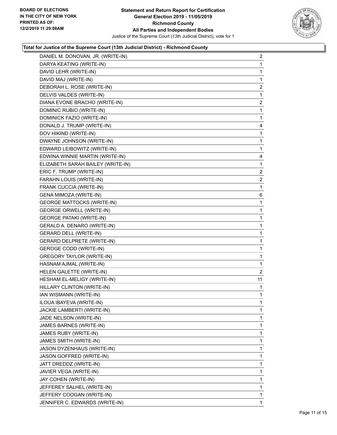

| DANIEL M. DONOVAN, JR. (WRITE-IN) | $\overline{2}$ |
|-----------------------------------|----------------|
| DARYA KEATING (WRITE-IN)          | 1              |
| DAVID LEHR (WRITE-IN)             | 1              |
| DAVID MAJ (WRITE-IN)              | 1              |
| DEBORAH L. ROSE (WRITE-IN)        | $\overline{c}$ |
| DELVIS VALDES (WRITE-IN)          | 1              |
| DIANA EVONE BRACHO (WRITE-IN)     | $\overline{2}$ |
| DOMINIC RUBIO (WRITE-IN)          | 1              |
| DOMINICK FAZIO (WRITE-IN)         | 1              |
| DONALD J. TRUMP (WRITE-IN)        | 4              |
| DOV HIKIND (WRITE-IN)             | 1              |
| DWAYNE JOHNSON (WRITE-IN)         | 1              |
| EDWARD LEIBOWITZ (WRITE-IN)       | $\mathbf{1}$   |
| EDWINA WINNIE MARTIN (WRITE-IN)   | 4              |
| ELIZABETH SARAH BAILEY (WRITE-IN) | 1              |
| ERIC F. TRUMP (WRITE-IN)          | $\overline{c}$ |
| FARAHN LOUIS (WRITE-IN)           | $\overline{c}$ |
| FRANK CUCCIA (WRITE-IN)           | 1              |
| <b>GENA MIMOZA (WRITE-IN)</b>     | 6              |
| <b>GEORGE MATTOCKS (WRITE-IN)</b> | 1              |
| <b>GEORGE ORWELL (WRITE-IN)</b>   | 1              |
| <b>GEORGE PATAKI (WRITE-IN)</b>   | $\mathbf{1}$   |
| GERALD A. DENARO (WRITE-IN)       | 1              |
| <b>GERARD DELL (WRITE-IN)</b>     | 1              |
| <b>GERARD DELPRETE (WRITE-IN)</b> | 1              |
| <b>GEROGE CODD (WRITE-IN)</b>     | 1              |
| <b>GREGORY TAYLOR (WRITE-IN)</b>  | 1              |
| HASNAM AJMAL (WRITE-IN)           | 1              |
| HELEN GALETTE (WRITE-IN)          | 2              |
| HESHAM EL-MELIGY (WRITE-IN)       | 11             |
| HILLARY CLINTON (WRITE-IN)        | 1              |
| IAN WISMANN (WRITE-IN)            | 1              |
| ILOUA IBAYEVA (WRITE-IN)          | 1              |
| JACKIE LAMBERTI (WRITE-IN)        | 1              |
| JADE NELSON (WRITE-IN)            | 1              |
| JAMES BARNES (WRITE-IN)           | 1              |
| JAMES RUBY (WRITE-IN)             | 1              |
| JAMES SMITH (WRITE-IN)            | 1              |
| JASON DYZENHAUS (WRITE-IN)        | 1              |
| JASON GOFFRED (WRITE-IN)          | 1              |
| JATT DREDDZ (WRITE-IN)            | 1              |
| JAVIER VEGA (WRITE-IN)            | 1              |
| JAY COHEN (WRITE-IN)              | 1              |
| JEFFEREY SALHEL (WRITE-IN)        | 1              |
| JEFFERY COOGAN (WRITE-IN)         | 1              |
| JENNIFER C. EDWARDS (WRITE-IN)    | 1              |
|                                   |                |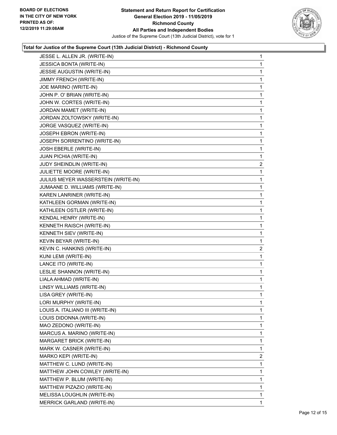

| JESSE L. ALLEN JR. (WRITE-IN)       | 1              |
|-------------------------------------|----------------|
| JESSICA BONTA (WRITE-IN)            | 1              |
| JESSIE AUGUSTIN (WRITE-IN)          | 1              |
| JIMMY FRENCH (WRITE-IN)             | 1              |
| JOE MARINO (WRITE-IN)               | 1              |
| JOHN P. O' BRIAN (WRITE-IN)         | 1              |
| JOHN W. CORTES (WRITE-IN)           | 1              |
| JORDAN MAMET (WRITE-IN)             | 1              |
| JORDAN ZOLTOWSKY (WRITE-IN)         | 1              |
| JORGE VASQUEZ (WRITE-IN)            | 1              |
| JOSEPH EBRON (WRITE-IN)             | 1              |
| JOSEPH SORRENTINO (WRITE-IN)        | 1              |
| JOSH EBERLE (WRITE-IN)              | 1              |
| JUAN PICHIA (WRITE-IN)              | 1              |
| JUDY SHEINDLIN (WRITE-IN)           | $\overline{2}$ |
| JULIETTE MOORE (WRITE-IN)           | 1              |
| JULIUS MEYER WASSERSTEIN (WRITE-IN) | 1              |
| JUMAANE D. WILLIAMS (WRITE-IN)      | 1              |
| KAREN LANRINER (WRITE-IN)           | 1              |
| KATHLEEN GORMAN (WRITE-IN)          | 1              |
| KATHLEEN OSTLER (WRITE-IN)          | 1              |
| KENDAL HENRY (WRITE-IN)             | 1              |
| KENNETH RAISCH (WRITE-IN)           | 1              |
| KENNETH SIEV (WRITE-IN)             | 1              |
| KEVIN BEYAR (WRITE-IN)              | 1              |
| KEVIN C. HANKINS (WRITE-IN)         | $\overline{2}$ |
| KUNI LEMI (WRITE-IN)                | 1              |
| LANCE ITO (WRITE-IN)                | 1              |
| LESLIE SHANNON (WRITE-IN)           | $\mathbf{1}$   |
| LIALA AHMAD (WRITE-IN)              | 1              |
| LINSY WILLIAMS (WRITE-IN)           | 1              |
| LISA GREY (WRITE-IN)                | 1              |
| LORI MURPHY (WRITE-IN)              | 1              |
| LOUIS A. ITALIANO III (WRITE-IN)    | 1              |
| LOUIS DIDONNA (WRITE-IN)            | 1              |
| MAO ZEDONO (WRITE-IN)               | 1              |
| MARCUS A. MARINO (WRITE-IN)         | 1              |
| MARGARET BRICK (WRITE-IN)           | 1              |
| MARK W. CASNER (WRITE-IN)           | 1              |
| MARKO KEPI (WRITE-IN)               | $\mathbf{2}$   |
| MATTHEW C. LUND (WRITE-IN)          | 1              |
| MATTHEW JOHN COWLEY (WRITE-IN)      | 1              |
| MATTHEW P. BLUM (WRITE-IN)          | 1              |
| MATTHEW PIZAZIO (WRITE-IN)          | 1              |
| MELISSA LOUGHLIN (WRITE-IN)         | 1              |
| <b>MERRICK GARLAND (WRITE-IN)</b>   | 1              |
|                                     |                |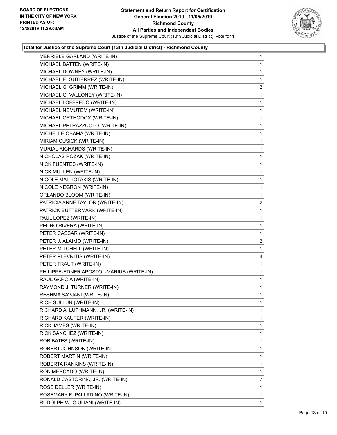

| MERRIELE GARLAND (WRITE-IN)              | 1              |
|------------------------------------------|----------------|
| MICHAEL BATTEN (WRITE-IN)                | 1              |
| MICHAEL DOWNEY (WRITE-IN)                | 1              |
| MICHAEL E. GUTIERREZ (WRITE-IN)          | 1              |
| MICHAEL G. GRIMM (WRITE-IN)              | $\overline{c}$ |
| MICHAEL G. VALLONEY (WRITE-IN)           | 1              |
| MICHAEL LOFFREDO (WRITE-IN)              | 1              |
| MICHAEL NEMUTEM (WRITE-IN)               | 1              |
| MICHAEL ORTHODOX (WRITE-IN)              | 1              |
| MICHAEL PETRAZZUOLO (WRITE-IN)           | 1              |
| MICHELLE OBAMA (WRITE-IN)                | 1              |
| MIRIAM CUSICK (WRITE-IN)                 | 1              |
| MURIAL RICHARDS (WRITE-IN)               | 1              |
| NICHOLAS ROZAK (WRITE-IN)                | 1              |
| NICK FUENTES (WRITE-IN)                  | 1              |
| NICK MULLEN (WRITE-IN)                   | 1              |
| NICOLE MALLIOTAKIS (WRITE-IN)            | 1              |
| NICOLE NEGRON (WRITE-IN)                 | 1              |
| ORLANDO BLOOM (WRITE-IN)                 | 1              |
| PATRICIA ANNE TAYLOR (WRITE-IN)          | $\overline{c}$ |
| PATRICK BUTTERMARK (WRITE-IN)            | 1              |
| PAUL LOPEZ (WRITE-IN)                    | 1              |
| PEDRO RIVERA (WRITE-IN)                  | 1              |
| PETER CASSAR (WRITE-IN)                  | $\mathbf{1}$   |
| PETER J. ALAIMO (WRITE-IN)               | $\overline{a}$ |
| PETER MITCHELL (WRITE-IN)                | 1              |
| PETER PLEVRITIS (WRITE-IN)               | 4              |
| PETER TRAUT (WRITE-IN)                   | 1              |
| PHILIPPE-EDNER APOSTOL-MARIUS (WRITE-IN) | 1              |
| RAUL GARCIA (WRITE-IN)                   | 1              |
| RAYMOND J. TURNER (WRITE-IN)             | 1              |
| RESHMA SAVJANI (WRITE-IN)                | $\mathbf 1$    |
| RICH SULLUN (WRITE-IN)                   | 1              |
| RICHARD A. LUTHMANN, JR. (WRITE-IN)      | 1              |
| RICHARD KAUFER (WRITE-IN)                | 1              |
| RICK JAMES (WRITE-IN)                    | 1              |
| RICK SANCHEZ (WRITE-IN)                  | 1              |
| ROB BATES (WRITE-IN)                     | 1              |
| ROBERT JOHNSON (WRITE-IN)                | 1              |
| ROBERT MARTIN (WRITE-IN)                 | 1              |
| ROBERTA RANKINS (WRITE-IN)               | 1              |
| RON MERCADO (WRITE-IN)                   | 1              |
| RONALD CASTORINA, JR. (WRITE-IN)         | 7              |
| ROSE DELLER (WRITE-IN)                   | 1              |
| ROSEMARY F. PALLADINO (WRITE-IN)         | 1              |
|                                          |                |
| RUDOLPH W. GIULIANI (WRITE-IN)           | 1              |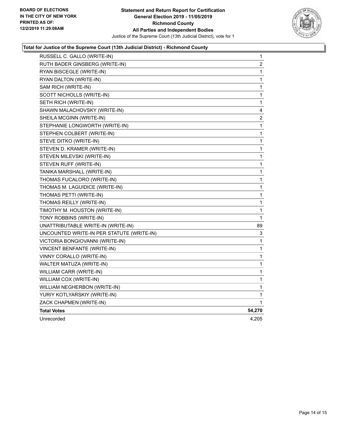

| RUSSELL C. GALLO (WRITE-IN)               | 1              |
|-------------------------------------------|----------------|
| RUTH BADER GINSBERG (WRITE-IN)            | $\overline{c}$ |
| RYAN BISCEGLE (WRITE-IN)                  | 1              |
| RYAN DALTON (WRITE-IN)                    | 1              |
| SAM RICH (WRITE-IN)                       | 1              |
| SCOTT NICHOLLS (WRITE-IN)                 | 1              |
| SETH RICH (WRITE-IN)                      | 1              |
| SHAWN MALACHOVSKY (WRITE-IN)              | 4              |
| SHEILA MCGINN (WRITE-IN)                  | 2              |
| STEPHANIE LONGWORTH (WRITE-IN)            | 1              |
| STEPHEN COLBERT (WRITE-IN)                | 1              |
| STEVE DITKO (WRITE-IN)                    | 1              |
| STEVEN D. KRAMER (WRITE-IN)               | 1              |
| STEVEN MILEVSKI (WRITE-IN)                | 1              |
| STEVEN RUFF (WRITE-IN)                    | 1              |
| TANIKA MARSHALL (WRITE-IN)                | 1              |
| THOMAS FUCALORO (WRITE-IN)                | 1              |
| THOMAS M. LAGUIDICE (WRITE-IN)            | 1              |
| THOMAS PETTI (WRITE-IN)                   | 1              |
| THOMAS REILLY (WRITE-IN)                  | 1              |
| TIMOTHY M. HOUSTON (WRITE-IN)             | 1              |
| TONY ROBBINS (WRITE-IN)                   | 1              |
| UNATTRIBUTABLE WRITE-IN (WRITE-IN)        | 89             |
| UNCOUNTED WRITE-IN PER STATUTE (WRITE-IN) | 3              |
| VICTORIA BONGIOVANNI (WRITE-IN)           | 1              |
| VINCENT BENFANTE (WRITE-IN)               | 1              |
| VINNY CORALLO (WRITE-IN)                  | 1              |
| WALTER MATUZA (WRITE-IN)                  | 1              |
| WILLIAM CARR (WRITE-IN)                   | 1              |
| WILLIAM COX (WRITE-IN)                    | 1              |
| WILLIAM NEGHERBON (WRITE-IN)              | 1              |
| YURIY KOTLYARSKIY (WRITE-IN)              | 1              |
| ZACK CHAPMEN (WRITE-IN)                   | 1              |
| <b>Total Votes</b>                        | 54,270         |
| Unrecorded                                | 4,205          |